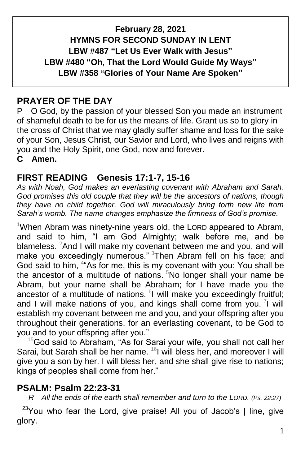## **February 28, 2021 HYMNS FOR SECOND SUNDAY IN LENT LBW #487 "Let Us Ever Walk with Jesus" LBW #480 "Oh, That the Lord Would Guide My Ways" LBW #358 "Glories of Your Name Are Spoken"**

## **PRAYER OF THE DAY**

P O God, by the passion of your blessed Son you made an instrument of shameful death to be for us the means of life. Grant us so to glory in the cross of Christ that we may gladly suffer shame and loss for the sake of your Son, Jesus Christ, our Savior and Lord, who lives and reigns with you and the Holy Spirit, one God, now and forever.

**C Amen.**

## **FIRST READING Genesis 17:1-7, 15-16**

*As with Noah, God makes an everlasting covenant with Abraham and Sarah. God promises this old couple that they will be the ancestors of nations, though they have no child together. God will miraculously bring forth new life from Sarah's womb. The name changes emphasize the firmness of God's promise.*

<sup>1</sup>When Abram was ninety-nine years old, the LORD appeared to Abram, and said to him, "I am God Almighty; walk before me, and be blameless. <sup>2</sup>And I will make my covenant between me and you, and will make you exceedingly numerous." 3Then Abram fell on his face; and God said to him, <sup>4</sup> As for me, this is my covenant with you: You shall be the ancestor of a multitude of nations.  $5$ No longer shall your name be Abram, but your name shall be Abraham; for I have made you the ancestor of a multitude of nations.  $6$ I will make you exceedingly fruitful; and I will make nations of you, and kings shall come from you.  $\frac{7}{1}$  will establish my covenant between me and you, and your offspring after you throughout their generations, for an everlasting covenant, to be God to you and to your offspring after you."

 $15$ God said to Abraham, "As for Sarai your wife, you shall not call her Sarai, but Sarah shall be her name. <sup>16</sup>I will bless her, and moreover I will give you a son by her. I will bless her, and she shall give rise to nations; kings of peoples shall come from her."

#### **PSALM: Psalm 22:23-31**

 *R All the ends of the earth shall remember and turn to the LORD. (Ps. 22:27)*

 $23$ You who fear the Lord, give praise! All you of Jacob's | line, give glory.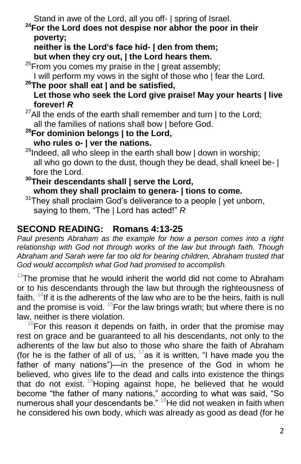Stand in awe of the Lord, all you off- | spring of Israel.

**<sup>24</sup>For the Lord does not despise nor abhor the poor in their poverty;** 

 **neither is the Lord's face hid- | den from them; but when they cry out, | the Lord hears them.**

 $^{25}$ From you comes my praise in the | great assembly;

I will perform my vows in the sight of those who | fear the Lord.

**<sup>26</sup>The poor shall eat | and be satisfied, Let those who seek the Lord give praise! May your hearts | live forever!** *R*

 $^{27}$ All the ends of the earth shall remember and turn | to the Lord; all the families of nations shall bow | before God.

**<sup>28</sup>For dominion belongs | to the Lord, who rules o- | ver the nations.**

 $^{29}$ Indeed, all who sleep in the earth shall bow | down in worship; all who go down to the dust, though they be dead, shall kneel be- | fore the Lord.

**<sup>30</sup>Their descendants shall | serve the Lord, whom they shall proclaim to genera- | tions to come.**

 $31$ They shall proclaim God's deliverance to a people | yet unborn, saying to them, "The | Lord has acted!" *R*

# **SECOND READING: Romans 4:13-25**

*Paul presents Abraham as the example for how a person comes into a right relationship with God not through works of the law but through faith. Though Abraham and Sarah were far too old for bearing children, Abraham trusted that God would accomplish what God had promised to accomplish.*

 $13$ The promise that he would inherit the world did not come to Abraham or to his descendants through the law but through the righteousness of faith.  $14$ If it is the adherents of the law who are to be the heirs, faith is null and the promise is void.  $15$ For the law brings wrath; but where there is no law, neither is there violation.

 $16$ For this reason it depends on faith, in order that the promise may rest on grace and be guaranteed to all his descendants, not only to the adherents of the law but also to those who share the faith of Abraham (for he is the father of all of us,  $17$  as it is written, "I have made you the father of many nations")—in the presence of the God in whom he believed, who gives life to the dead and calls into existence the things that do not exist.  $18$  Hoping against hope, he believed that he would become "the father of many nations," according to what was said, "So numerous shall your descendants be." <sup>19</sup>He did not weaken in faith when he considered his own body, which was already as good as dead (for he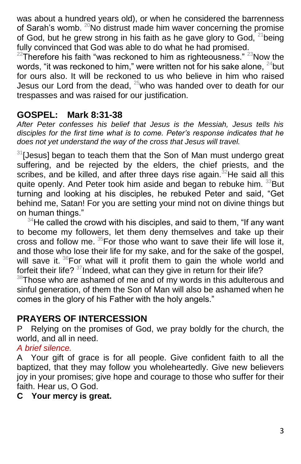was about a hundred years old), or when he considered the barrenness of Sarah's womb.  $^{20}$ No distrust made him waver concerning the promise of God, but he grew strong in his faith as he gave glory to God,  $21$ being fully convinced that God was able to do what he had promised.

 $22$ Therefore his faith "was reckoned to him as righteousness."  $23$ Now the words, "it was reckoned to him," were written not for his sake alone, <sup>24</sup>but for ours also. It will be reckoned to us who believe in him who raised Jesus our Lord from the dead,  $25$  who was handed over to death for our trespasses and was raised for our justification.

#### **GOSPEL: Mark 8:31-38**

*After Peter confesses his belief that Jesus is the Messiah, Jesus tells his disciples for the first time what is to come. Peter's response indicates that he does not yet understand the way of the cross that Jesus will travel.*

 $31$ [Jesus] began to teach them that the Son of Man must undergo great suffering, and be rejected by the elders, the chief priests, and the scribes, and be killed, and after three days rise again. $32$ He said all this quite openly. And Peter took him aside and began to rebuke him. 33But turning and looking at his disciples, he rebuked Peter and said, "Get behind me, Satan! For you are setting your mind not on divine things but on human things."

 $34$ He called the crowd with his disciples, and said to them, "If any want to become my followers, let them deny themselves and take up their cross and follow me.  $35$  For those who want to save their life will lose it, and those who lose their life for my sake, and for the sake of the gospel, will save it. <sup>36</sup>For what will it profit them to gain the whole world and forfeit their life?  $37$ Indeed, what can they give in return for their life?

 $38$ Those who are ashamed of me and of my words in this adulterous and sinful generation, of them the Son of Man will also be ashamed when he comes in the glory of his Father with the holy angels."

## **PRAYERS OF INTERCESSION**

P Relying on the promises of God, we pray boldly for the church, the world, and all in need.

#### *A brief silence.*

A Your gift of grace is for all people. Give confident faith to all the baptized, that they may follow you wholeheartedly. Give new believers joy in your promises; give hope and courage to those who suffer for their faith. Hear us, O God.

**C Your mercy is great.**